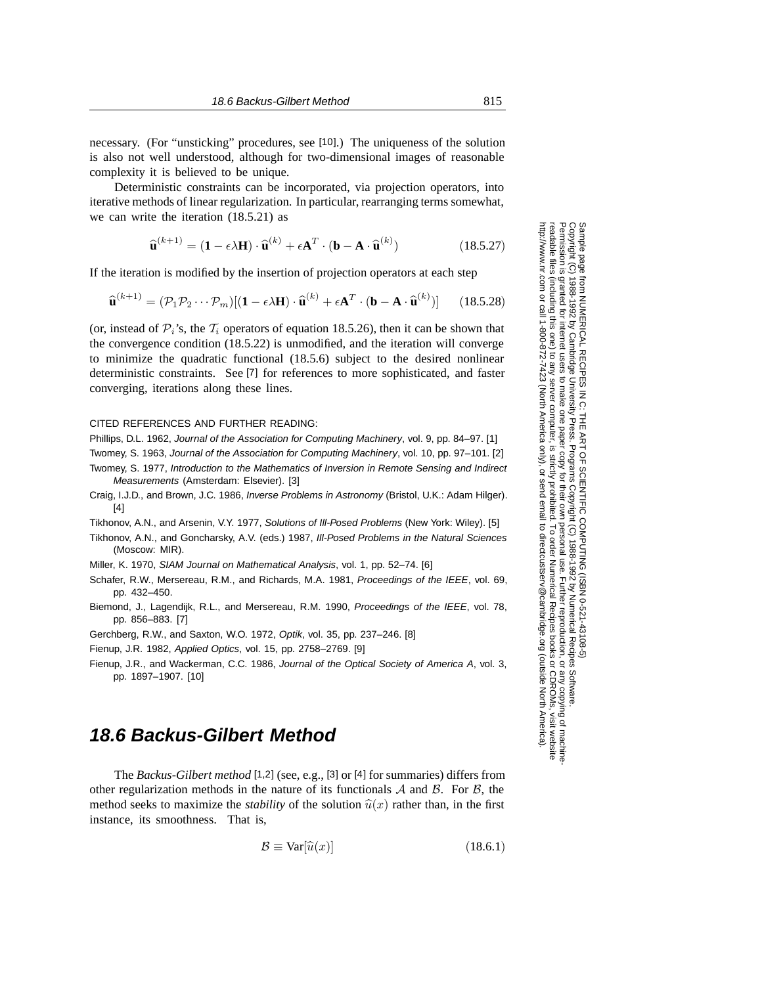necessary. (For "unsticking" procedures, see [10].) The uniqueness of the solution is also not well understood, although for two-dimensional images of reasonable complexity it is believed to be unique.

Deterministic constraints can be incorporated, via projection operators, into iterative methods of linear regularization. In particular, rearranging terms somewhat, we can write the iteration (18.5.21) as

$$
\widehat{\mathbf{u}}^{(k+1)} = (\mathbf{1} - \epsilon \lambda \mathbf{H}) \cdot \widehat{\mathbf{u}}^{(k)} + \epsilon \mathbf{A}^T \cdot (\mathbf{b} - \mathbf{A} \cdot \widehat{\mathbf{u}}^{(k)})
$$
(18.5.27)

If the iteration is modified by the insertion of projection operators at each step

$$
\widehat{\mathbf{u}}^{(k+1)} = (\mathcal{P}_1 \mathcal{P}_2 \cdots \mathcal{P}_m)[(\mathbf{1} - \epsilon \lambda \mathbf{H}) \cdot \widehat{\mathbf{u}}^{(k)} + \epsilon \mathbf{A}^T \cdot (\mathbf{b} - \mathbf{A} \cdot \widehat{\mathbf{u}}^{(k)})] \qquad (18.5.28)
$$

(or, instead of  $\mathcal{P}_i$ 's, the  $\mathcal{T}_i$  operators of equation 18.5.26), then it can be shown that the convergence condition (18.5.22) is unmodified, and the iteration will converge to minimize the quadratic functional (18.5.6) subject to the desired nonlinear deterministic constraints. See [7] for references to more sophisticated, and faster converging, iterations along these lines.

## CITED REFERENCES AND FURTHER READING:

Phillips, D.L. 1962, Journal of the Association for Computing Machinery, vol. 9, pp. 84–97. [1]

Twomey, S. 1963, Journal of the Association for Computing Machinery, vol. 10, pp. 97–101. [2]

- Twomey, S. 1977, Introduction to the Mathematics of Inversion in Remote Sensing and Indirect
- Measurements (Amsterdam: Elsevier). [3]
- Craig, I.J.D., and Brown, J.C. 1986, Inverse Problems in Astronomy (Bristol, U.K.: Adam Hilger). [4]
- Tikhonov, A.N., and Arsenin, V.Y. 1977, Solutions of Ill-Posed Problems (New York: Wiley). [5]
- Tikhonov, A.N., and Goncharsky, A.V. (eds.) 1987, Ill-Posed Problems in the Natural Sciences (Moscow: MIR).
- Miller, K. 1970, SIAM Journal on Mathematical Analysis, vol. 1, pp. 52–74. [6]
- Schafer, R.W., Mersereau, R.M., and Richards, M.A. 1981, Proceedings of the IEEE, vol. 69, pp. 432–450.
- Biemond, J., Lagendijk, R.L., and Mersereau, R.M. 1990, Proceedings of the IEEE, vol. 78, pp. 856–883. [7]
- Gerchberg, R.W., and Saxton, W.O. 1972, Optik, vol. 35, pp. 237–246. [8]
- Fienup, J.R. 1982, Applied Optics, vol. 15, pp. 2758–2769. [9]
- Fienup, J.R., and Wackerman, C.C. 1986, Journal of the Optical Society of America A, vol. 3, pp. 1897–1907. [10]

## **18.6 Backus-Gilbert Method**

The *Backus-Gilbert method* [1,2] (see, e.g., [3] or [4] for summaries) differs from other regularization methods in the nature of its functionals  $A$  and  $B$ . For  $B$ , the method seeks to maximize the *stability* of the solution  $\hat{u}(x)$  rather than, in the first instance, its smoothness. That is,

$$
\mathcal{B} \equiv \text{Var}[\widehat{u}(x)] \tag{18.6.1}
$$

Sample page<br>Copyright (C)<br>Permission is Copyright (C) 1988-1992 by Cambridge University Press.Sample page from NUMERICAL RECIPES IN C: THE ART OF SCIENTIFIC COMPUTING (ISBN 0-521-43108-5) http://www.nr.com or call 1-800-872-7423 (North America only),readable files (including this one) to any serverPermission is granted for internet users to make one paper copy for their own personal use. Further reproduction, or any copyin from NUMERICAL RECIPES IN C. THE ART OF SCIENTIFIC COMPUTING (ISBN 0-521-43108-5)<br>1988-1992 by Cambridge University Press. Programs Copyright (C) 1988-1992 by Numerical Recipes **IFTHE CONFINITY OF RECIPES IN C. THE** computer, is strictly prohibited. To order Numerical Recipes booksPrograms Copyright (C) 1988-1992 by Numerical Recipes Software. or send email to directcustserv@cambridge.org (outside North America). or CDROMs, visit website Software g of machine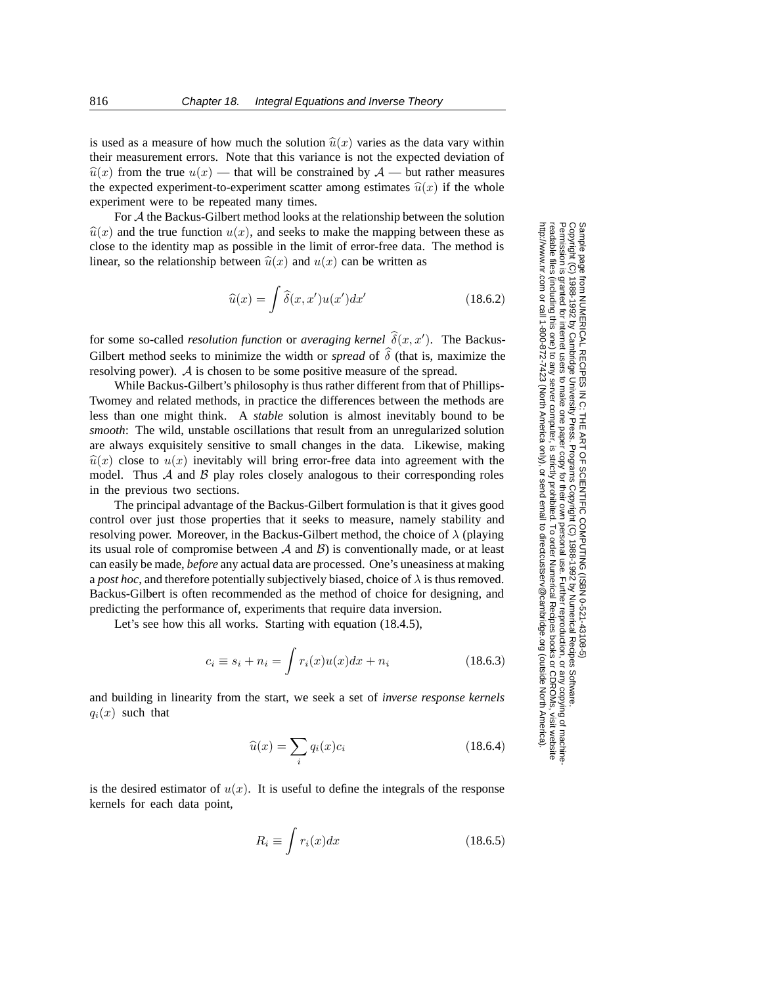is used as a measure of how much the solution  $\hat{u}(x)$  varies as the data vary within their measurement errors. Note that this variance is not the expected deviation of  $\hat{u}(x)$  from the true  $u(x)$  — that will be constrained by  $\mathcal{A}$  — but rather measures the expected experiment-to-experiment scatter among estimates  $\hat{u}(x)$  if the whole experiment were to be repeated many times.

For A the Backus-Gilbert method looks at the relationship between the solution  $\hat{u}(x)$  and the true function  $u(x)$ , and seeks to make the mapping between these as close to the identity map as possible in the limit of error-free data. The method is linear, so the relationship between  $\hat{u}(x)$  and  $u(x)$  can be written as

$$
\widehat{u}(x) = \int \widehat{\delta}(x, x') u(x') dx' \qquad (18.6.2)
$$

for some so-called *resolution function* or *averaging kernel*  $\hat{\delta}(x, x')$ . The Backus-Gilbert method seeks to minimize the width or *spread* of  $\hat{\delta}$  (that is, maximize the resolving power). A is chosen to be some positive measure of the spread.

While Backus-Gilbert's philosophy is thus rather different from that of Phillips-Twomey and related methods, in practice the differences between the methods are less than one might think. A *stable* solution is almost inevitably bound to be *smooth*: The wild, unstable oscillations that result from an unregularized solution are always exquisitely sensitive to small changes in the data. Likewise, making  $\hat{u}(x)$  close to  $u(x)$  inevitably will bring error-free data into agreement with the model. Thus  $\mathcal A$  and  $\mathcal B$  play roles closely analogous to their corresponding roles in the previous two sections.

The principal advantage of the Backus-Gilbert formulation is that it gives good control over just those properties that it seeks to measure, namely stability and resolving power. Moreover, in the Backus-Gilbert method, the choice of  $\lambda$  (playing its usual role of compromise between  $A$  and  $B$ ) is conventionally made, or at least can easily be made, *before* any actual data are processed. One's uneasiness at making a *post hoc*, and therefore potentially subjectively biased, choice of  $\lambda$  is thus removed. Backus-Gilbert is often recommended as the method of choice for designing, and predicting the performance of, experiments that require data inversion.

Let's see how this all works. Starting with equation  $(18.4.5)$ ,

$$
c_i \equiv s_i + n_i = \int r_i(x)u(x)dx + n_i \qquad (18.6.3)
$$

and building in linearity from the start, we seek a set of *inverse response kernels*  $q_i(x)$  such that

$$
\widehat{u}(x) = \sum_{i} q_i(x)c_i \tag{18.6.4}
$$

is the desired estimator of  $u(x)$ . It is useful to define the integrals of the response kernels for each data point,

$$
R_i \equiv \int r_i(x)dx\tag{18.6.5}
$$

Permission is granted for internet users to make one paper copy for their own personal use. Further reproduction, or any copyin Copyright (C) 1988-1992 by Cambridge University Press.Programs Copyright (C) 1988-1992 by Numerical Recipes Software. Sample page from NUMERICAL RECIPES IN C: THE ART OF SCIENTIFIC COMPUTING (ISBN 0-521-43108-5) g of machinereadable files (including this one) to any servercomputer, is strictly prohibited. To order Numerical Recipes booksor CDROMs, visit website http://www.nr.com or call 1-800-872-7423 (North America only),or send email to directcustserv@cambridge.org (outside North America).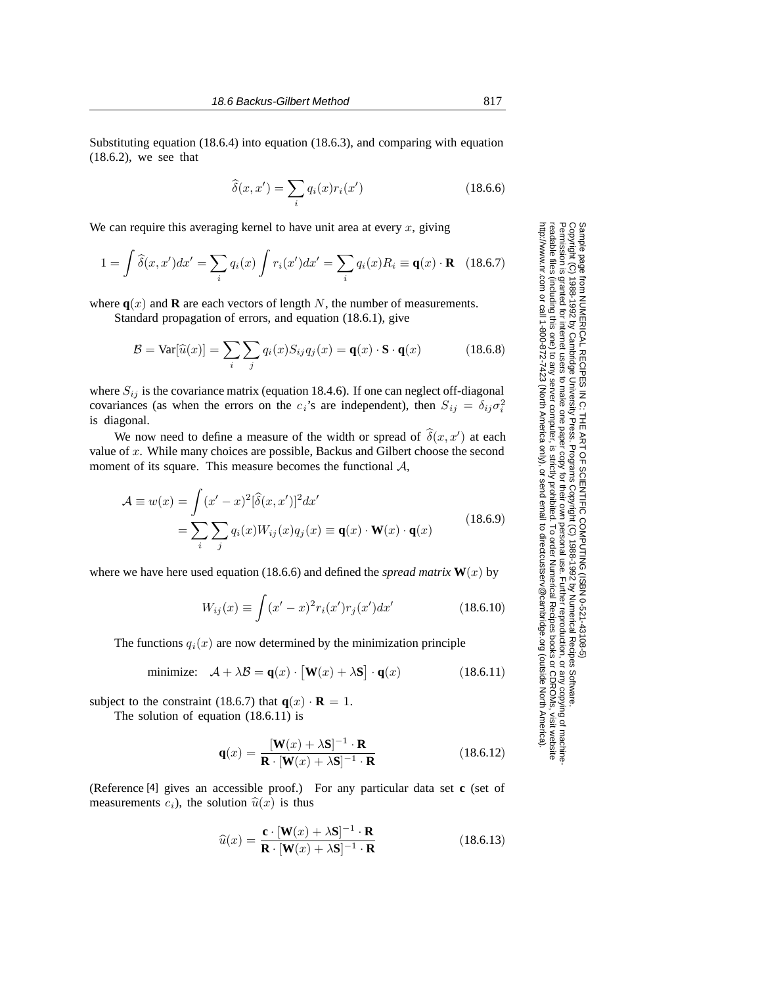Substituting equation (18.6.4) into equation (18.6.3), and comparing with equation (18.6.2), we see that

$$
\widehat{\delta}(x, x') = \sum_{i} q_i(x) r_i(x')
$$
\n(18.6.6)

We can require this averaging kernel to have unit area at every  $x$ , giving

$$
1 = \int \hat{\delta}(x, x') dx' = \sum_{i} q_i(x) \int r_i(x') dx' = \sum_{i} q_i(x) R_i \equiv \mathbf{q}(x) \cdot \mathbf{R} \quad (18.6.7)
$$

where  $q(x)$  and **R** are each vectors of length N, the number of measurements.

Standard propagation of errors, and equation (18.6.1), give

$$
\mathcal{B} = \text{Var}[\widehat{u}(x)] = \sum_{i} \sum_{j} q_i(x) S_{ij} q_j(x) = \mathbf{q}(x) \cdot \mathbf{S} \cdot \mathbf{q}(x)
$$
(18.6.8)

where  $S_{ij}$  is the covariance matrix (equation 18.4.6). If one can neglect off-diagonal covariances (as when the errors on the  $c_i$ 's are independent), then  $S_{ij} = \delta_{ij}\sigma_i^2$ is diagonal.

We now need to define a measure of the width or spread of  $\hat{\delta}(x, x')$  at each value of  $x$ . While many choices are possible, Backus and Gilbert choose the second moment of its square. This measure becomes the functional  $A$ ,

$$
\mathcal{A} \equiv w(x) = \int (x'-x)^2 [\hat{\delta}(x,x')]^2 dx'
$$
  
= 
$$
\sum_{i} \sum_{j} q_i(x) W_{ij}(x) q_j(x) \equiv \mathbf{q}(x) \cdot \mathbf{W}(x) \cdot \mathbf{q}(x)
$$
(18.6.9)

where we have here used equation (18.6.6) and defined the *spread matrix*  $W(x)$  by

$$
W_{ij}(x) \equiv \int (x'-x)^2 r_i(x') r_j(x') dx' \qquad (18.6.10)
$$

The functions  $q_i(x)$  are now determined by the minimization principle

minimize: 
$$
\mathcal{A} + \lambda \mathcal{B} = \mathbf{q}(x) \cdot [\mathbf{W}(x) + \lambda \mathbf{S}] \cdot \mathbf{q}(x)
$$
 (18.6.11)

subject to the constraint (18.6.7) that  $q(x) \cdot \mathbf{R} = 1$ .

The solution of equation (18.6.11) is

$$
\mathbf{q}(x) = \frac{[\mathbf{W}(x) + \lambda \mathbf{S}]^{-1} \cdot \mathbf{R}}{\mathbf{R} \cdot [\mathbf{W}(x) + \lambda \mathbf{S}]^{-1} \cdot \mathbf{R}}
$$
(18.6.12)

(Reference [4] gives an accessible proof.) For any particular data set **c** (set of measurements  $c_i$ ), the solution  $\hat{u}(x)$  is thus

$$
\widehat{u}(x) = \frac{\mathbf{c} \cdot [\mathbf{W}(x) + \lambda \mathbf{S}]^{-1} \cdot \mathbf{R}}{\mathbf{R} \cdot [\mathbf{W}(x) + \lambda \mathbf{S}]^{-1} \cdot \mathbf{R}}
$$
(18.6.13)

Permission is granted for internet users to make one paper copy for their own personal use. Further reproduction, or any copyin

computer, is strictly prohibited. To order Numerical Recipes books

or send email to directcustserv@cambridge.org (outside North America).

Sample page from NUMERICAL RECIPES IN C: THE ART OF SCIENTIFIC COMPUTING (ISBN 0-521-43108-5)

Programs Copyright (C) 1988-1992 by Numerical Recipes Software.

g of machine-

or CDROMs, visit website

Copyright (C) 1988-1992 by Cambridge University Press.

readable files (including this one) to any server

http://www.nr.com or call 1-800-872-7423 (North America only),